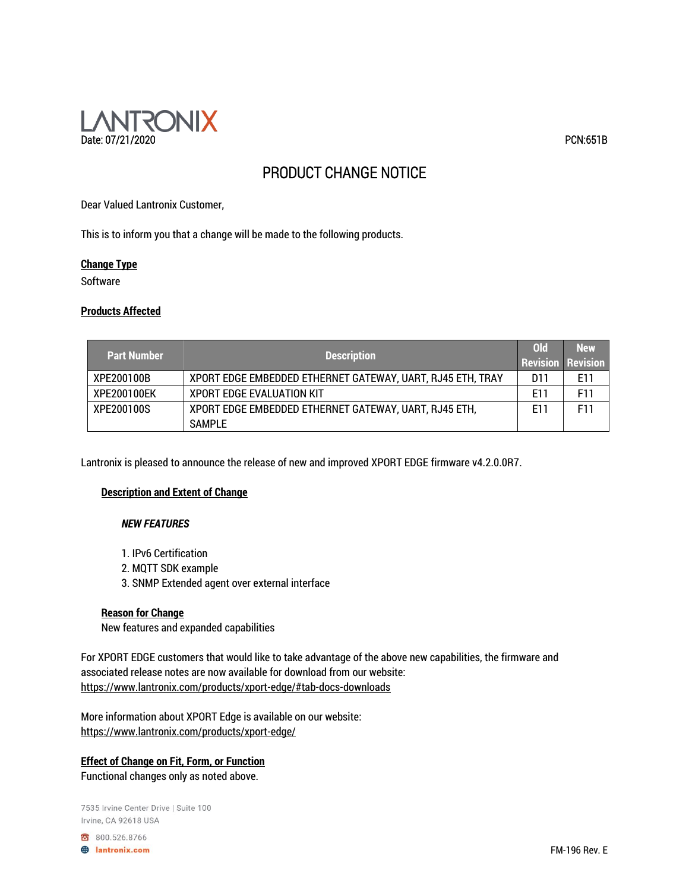

# PRODUCT CHANGE NOTICE

Dear Valued Lantronix Customer,

This is to inform you that a change will be made to the following products.

## **Change Type**

**Software** 

## **Products Affected**

| <b>Part Number</b> | <b>Description</b>                                         | 0ld                      | <b>New</b> |
|--------------------|------------------------------------------------------------|--------------------------|------------|
|                    |                                                            | <b>Revision Revision</b> |            |
| XPE200100B         | XPORT EDGE EMBEDDED ETHERNET GATEWAY, UART, RJ45 ETH, TRAY | D11                      | E11        |
| XPE200100EK        | <b>XPORT EDGE EVALUATION KIT</b>                           | E11                      | F11        |
| XPE200100S         | XPORT EDGE EMBEDDED ETHERNET GATEWAY, UART, RJ45 ETH,      | F11                      | F11        |
|                    | <b>SAMPLE</b>                                              |                          |            |

Lantronix is pleased to announce the release of new and improved XPORT EDGE firmware v4.2.0.0R7.

## **Description and Extent of Change**

## *NEW FEATURES*

- 1. IPv6 Certification
- 2. MQTT SDK example
- 3. SNMP Extended agent over external interface

## **Reason for Change**

New features and expanded capabilities

For XPORT EDGE customers that would like to take advantage of the above new capabilities, the firmware and associated release notes are now available for download from our website: https://www.lantronix.com/products/xport-edge/#tab-docs-downloads

More information about XPORT Edge is available on our website: https://www.lantronix.com/products/xport-edge/

## **Effect of Change on Fit, Form, or Function** Functional changes only as noted above.

7535 Irvine Center Drive | Suite 100 Irvine, CA 92618 USA

800.526.8766

**B** lantronix.com